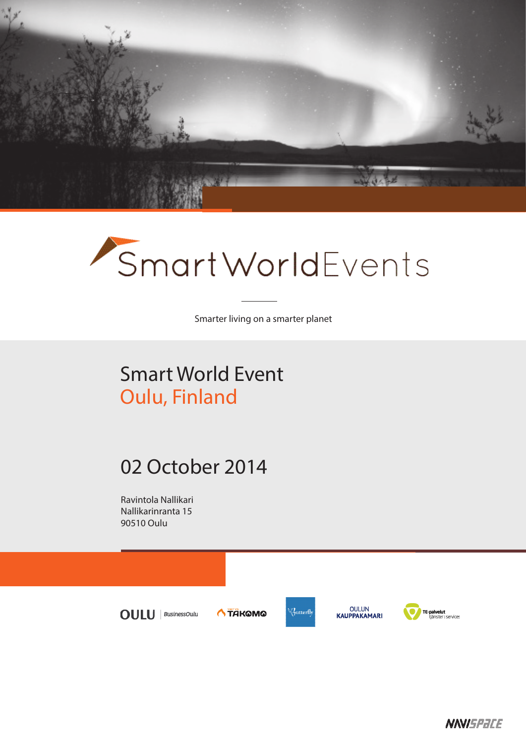

# SmartWorldEvents

Smarter living on a smarter planet

## Smart World Event Oulu, Finland

### 02 October 2014

Ravintola Nallikari Nallikarinranta 15 90510 Oulu



**NNISPACE**